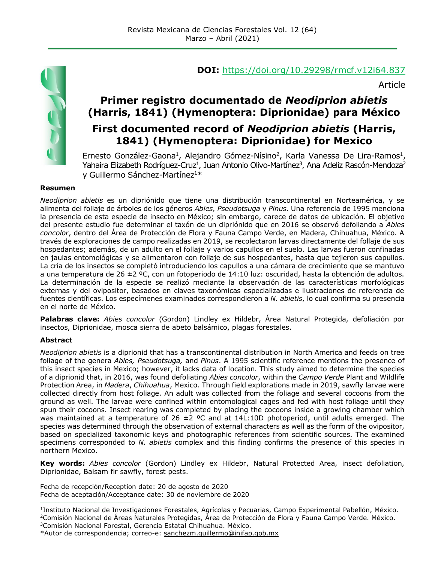

## **DOI:** <https://doi.org/10.29298/rmcf.v12i64.837>

Article

# **Primer registro documentado de** *Neodiprion abietis*  **(Harris, 1841) (Hymenoptera: Diprionidae) para México**

## **First documented record of** *Neodiprion abietis* **(Harris, 1841) (Hymenoptera: Diprionidae) for Mexico**

Ernesto González-Gaona<sup>1</sup>, Alejandro Gómez-Nísino<sup>2</sup>, Karla Vanessa De Lira-Ramos<sup>1</sup>, Yahaira Elizabeth Rodríguez-Cruz<sup>1</sup>, Juan Antonio Olivo-Martínez<sup>3</sup>, Ana Adeliz Rascón-Mendoza<sup>2</sup> y Guillermo Sánchez-Martínez<sup>1\*</sup>

#### **Resumen**

*Neodiprion abietis* es un dipriónido que tiene una distribución transcontinental en Norteamérica, y se alimenta del follaje de árboles de los géneros *Abies, Pseudotsuga* y *Pinus*. Una referencia de 1995 menciona la presencia de esta especie de insecto en México; sin embargo, carece de datos de ubicación. El objetivo del presente estudio fue determinar el taxón de un dipriónido que en 2016 se observó defoliando a *Abies concolor*, dentro del Área de Protección de Flora y Fauna Campo Verde, en Madera, Chihuahua, México. A través de exploraciones de campo realizadas en 2019, se recolectaron larvas directamente del follaje de sus hospedantes; además, de un adulto en el follaje y varios capullos en el suelo. Las larvas fueron confinadas en jaulas entomológicas y se alimentaron con follaje de sus hospedantes, hasta que tejieron sus capullos. La cría de los insectos se completó introduciendo los capullos a una cámara de crecimiento que se mantuvo a una temperatura de 26 ±2 ºC, con un fotoperiodo de 14:10 luz: oscuridad, hasta la obtención de adultos. La determinación de la especie se realizó mediante la observación de las características morfológicas externas y del ovipositor, basados en claves taxonómicas especializadas e ilustraciones de referencia de fuentes científicas. Los especímenes examinados correspondieron a *N. abietis*, lo cual confirma su presencia en el norte de México.

**Palabras clave:** *Abies concolor* (Gordon) Lindley ex Hildebr, Área Natural Protegida, defoliación por insectos, Diprionidae, mosca sierra de abeto balsámico, plagas forestales.

#### **Abstract**

*Neodiprion abietis* is a diprionid that has a transcontinental distribution in North America and feeds on tree foliage of the genera *Abies, Pseudotsuga,* and *Pinus*. A 1995 scientific reference mentions the presence of this insect species in Mexico; however, it lacks data of location. This study aimed to determine the species of a diprionid that, in 2016, was found defoliating *Abies concolor*, within the *Campo Verde* Plant and Wildlife Protection Area, in *Madera*, *Chihuahua*, Mexico. Through field explorations made in 2019, sawfly larvae were collected directly from host foliage. An adult was collected from the foliage and several cocoons from the ground as well. The larvae were confined within entomological cages and fed with host foliage until they spun their cocoons. Insect rearing was completed by placing the cocoons inside a growing chamber which was maintained at a temperature of 26  $\pm$ 2 °C and at 14L:10D photoperiod, until adults emerged. The species was determined through the observation of external characters as well as the form of the ovipositor, based on specialized taxonomic keys and photographic references from scientific sources. The examined specimens corresponded to *N. abietis* complex and this finding confirms the presence of this species in northern Mexico.

**Key words:** *Abies concolor* (Gordon) Lindley ex Hildebr, Natural Protected Area, insect defoliation, Diprionidae, Balsam fir sawfly, forest pests.

Fecha de recepción/Reception date: 20 de agosto de 2020 Fecha de aceptación/Acceptance date: 30 de noviembre de 2020

**\_\_\_\_\_\_\_\_\_\_\_\_\_\_\_\_\_\_\_\_\_\_\_\_\_\_\_\_\_\_\_**

<sup>3</sup>Comisión Nacional Forestal, Gerencia Estatal Chihuahua. México.

<sup>1</sup> Instituto Nacional de Investigaciones Forestales, Agrícolas y Pecuarias, Campo Experimental Pabellón, México. <sup>2</sup>Comisión Nacional de Áreas Naturales Protegidas, Área de Protección de Flora y Fauna Campo Verde. México.

<sup>\*</sup>Autor de correspondencia; correo-e: [sanchezm.guillermo@inifap.gob.mx](mailto:sanchezm.guillermo@inifap.gob.mx)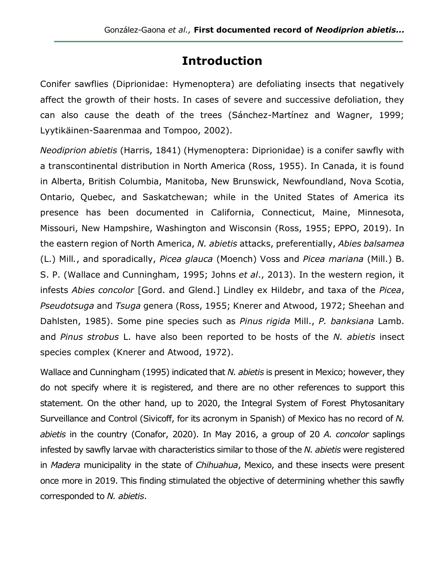# **Introduction**

Conifer sawflies (Diprionidae: Hymenoptera) are defoliating insects that negatively affect the growth of their hosts. In cases of severe and successive defoliation, they can also cause the death of the trees (Sánchez-Martínez and Wagner, 1999; Lyytikäinen-Saarenmaa and Tompoo, 2002).

*Neodiprion abietis* (Harris, 1841) (Hymenoptera: Diprionidae) is a conifer sawfly with a transcontinental distribution in North America (Ross, 1955). In Canada, it is found in Alberta, British Columbia, Manitoba, New Brunswick, Newfoundland, Nova Scotia, Ontario, Quebec, and Saskatchewan; while in the United States of America its presence has been documented in California, Connecticut, Maine, Minnesota, Missouri, New Hampshire, Washington and Wisconsin (Ross, 1955; EPPO, 2019). In the eastern region of North America, *N. abietis* attacks, preferentially, *Abies balsamea*  (L.) Mill*.*, and sporadically, *Picea glauca* (Moench) Voss and *Picea mariana* (Mill.) B. S. P. (Wallace and Cunningham, 1995; Johns *et al*., 2013). In the western region, it infests *Abies concolor* [Gord. and Glend.] Lindley ex Hildebr, and taxa of the *Picea*, *Pseudotsuga* and *Tsuga* genera (Ross, 1955; Knerer and Atwood, 1972; Sheehan and Dahlsten, 1985). Some pine species such as *Pinus rigida* Mill., *P. banksiana* Lamb. and *Pinus strobus* L. have also been reported to be hosts of the *N. abietis* insect species complex (Knerer and Atwood, 1972).

Wallace and Cunningham (1995) indicated that *N. abietis* is present in Mexico; however, they do not specify where it is registered, and there are no other references to support this statement. On the other hand, up to 2020, the Integral System of Forest Phytosanitary Surveillance and Control (Sivicoff, for its acronym in Spanish) of Mexico has no record of *N. abietis* in the country (Conafor, 2020). In May 2016, a group of 20 *A. concolor* saplings infested by sawfly larvae with characteristics similar to those of the *N. abietis* were registered in *Madera* municipality in the state of *Chihuahua*, Mexico, and these insects were present once more in 2019. This finding stimulated the objective of determining whether this sawfly corresponded to *N. abietis*.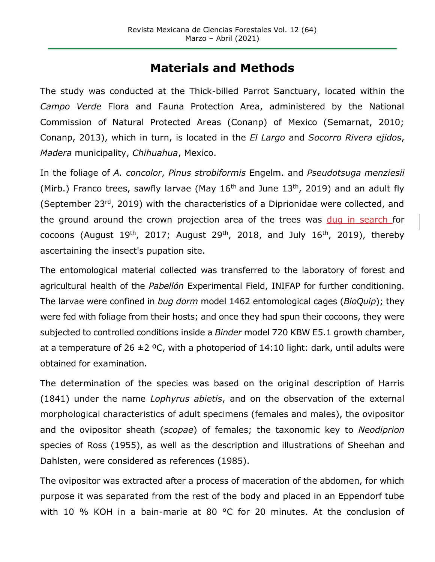## **Materials and Methods**

The study was conducted at the Thick-billed Parrot Sanctuary, located within the *Campo Verde* Flora and Fauna Protection Area, administered by the National Commission of Natural Protected Areas (Conanp) of Mexico (Semarnat, 2010; Conanp, 2013), which in turn, is located in the *El Largo* and *Socorro Rivera ejidos*, *Madera* municipality, *Chihuahua*, Mexico.

In the foliage of *A. concolor*, *Pinus strobiformis* Engelm. and *Pseudotsuga menziesii*  (Mirb.) Franco trees, sawfly larvae (May  $16<sup>th</sup>$  and June  $13<sup>th</sup>$ , 2019) and an adult fly (September 23rd, 2019) with the characteristics of a Diprionidae were collected, and the ground around the crown projection area of the trees was dug in search for cocoons (August  $19^{th}$ , 2017; August  $29^{th}$ , 2018, and July  $16^{th}$ , 2019), thereby ascertaining the insect's pupation site.

The entomological material collected was transferred to the laboratory of forest and agricultural health of the *Pabellón* Experimental Field, INIFAP for further conditioning. The larvae were confined in *bug dorm* model 1462 entomological cages (*BioQuip*); they were fed with foliage from their hosts; and once they had spun their cocoons, they were subjected to controlled conditions inside a *Binder* model 720 KBW E5.1 growth chamber, at a temperature of 26  $\pm$ 2 °C, with a photoperiod of 14:10 light: dark, until adults were obtained for examination.

The determination of the species was based on the original description of Harris (1841) under the name *Lophyrus abietis*, and on the observation of the external morphological characteristics of adult specimens (females and males), the ovipositor and the ovipositor sheath (*scopae*) of females; the taxonomic key to *Neodiprion* species of Ross (1955), as well as the description and illustrations of Sheehan and Dahlsten, were considered as references (1985).

The ovipositor was extracted after a process of maceration of the abdomen, for which purpose it was separated from the rest of the body and placed in an Eppendorf tube with 10 % KOH in a bain-marie at 80 °C for 20 minutes. At the conclusion of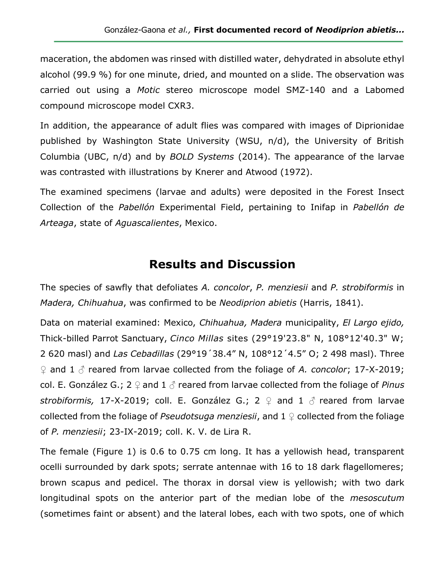maceration, the abdomen was rinsed with distilled water, dehydrated in absolute ethyl alcohol (99.9 %) for one minute, dried, and mounted on a slide. The observation was carried out using a *Motic* stereo microscope model SMZ-140 and a Labomed compound microscope model CXR3.

In addition, the appearance of adult flies was compared with images of Diprionidae published by Washington State University (WSU, n/d), the University of British Columbia (UBC, n/d) and by *BOLD Systems* (2014). The appearance of the larvae was contrasted with illustrations by Knerer and Atwood (1972).

The examined specimens (larvae and adults) were deposited in the Forest Insect Collection of the *Pabellón* Experimental Field, pertaining to Inifap in *Pabellón de Arteaga*, state of *Aguascalientes*, Mexico.

## **Results and Discussion**

The species of sawfly that defoliates *A. concolor*, *P. menziesii* and *P. strobiformis* in *Madera, Chihuahua*, was confirmed to be *Neodiprion abietis* (Harris, 1841).

Data on material examined: Mexico, *Chihuahua, Madera* municipality, *El Largo ejido,*  Thick-billed Parrot Sanctuary, *Cinco Millas* sites (29°19'23.8" N, 108°12'40.3" W; 2 620 masl) and *Las Cebadillas* (29°19´38.4" N, 108°12´4.5" O; 2 498 masl). Three ♀ and 1 ♂ reared from larvae collected from the foliage of *A. concolor*; 17-X-2019; col. E. González G.; 2 ♀ and 1 ♂ reared from larvae collected from the foliage of *Pinus strobiformis,* 17-X-2019; coll. E. González G.; 2 ♀ and 1 ♂ reared from larvae collected from the foliage of *Pseudotsuga menziesii*, and 1 ♀ collected from the foliage of *P. menziesii*; 23-IX-2019; coll. K. V. de Lira R.

The female (Figure 1) is 0.6 to 0.75 cm long. It has a yellowish head, transparent ocelli surrounded by dark spots; serrate antennae with 16 to 18 dark flagellomeres; brown scapus and pedicel. The thorax in dorsal view is yellowish; with two dark longitudinal spots on the anterior part of the median lobe of the *mesoscutum* (sometimes faint or absent) and the lateral lobes, each with two spots, one of which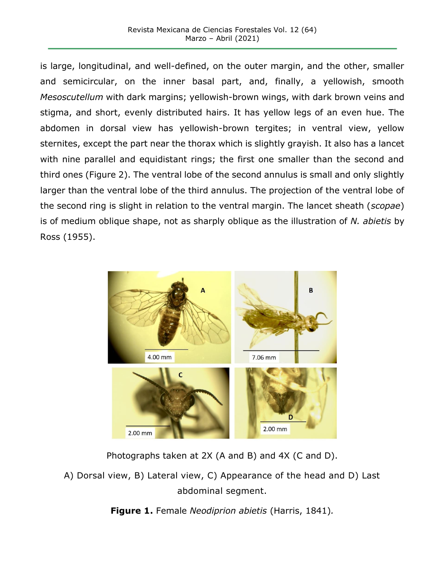is large, longitudinal, and well-defined, on the outer margin, and the other, smaller and semicircular, on the inner basal part, and, finally, a yellowish, smooth *Mesoscutellum* with dark margins; yellowish-brown wings, with dark brown veins and stigma, and short, evenly distributed hairs. It has yellow legs of an even hue. The abdomen in dorsal view has yellowish-brown tergites; in ventral view, yellow sternites, except the part near the thorax which is slightly grayish. It also has a lancet with nine parallel and equidistant rings; the first one smaller than the second and third ones (Figure 2). The ventral lobe of the second annulus is small and only slightly larger than the ventral lobe of the third annulus. The projection of the ventral lobe of the second ring is slight in relation to the ventral margin. The lancet sheath (*scopae*) is of medium oblique shape, not as sharply oblique as the illustration of *N. abietis* by Ross (1955).



Photographs taken at 2X (A and B) and 4X (C and D).

A) Dorsal view, B) Lateral view, C) Appearance of the head and D) Last abdominal segment.

**Figure 1.** Female *Neodiprion abietis* (Harris, 1841)*.*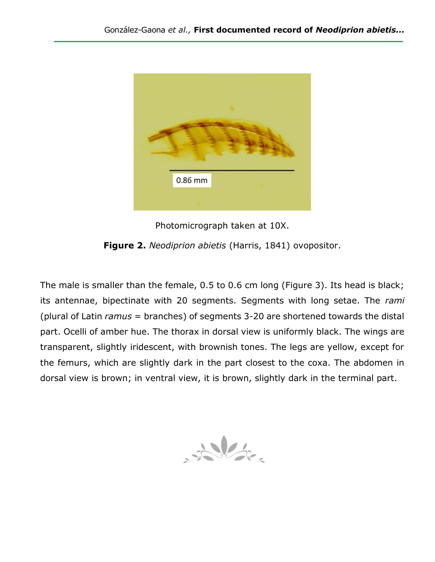

Photomicrograph taken at 10X.

**Figure 2.** *Neodiprion abietis* (Harris, 1841) ovopositor.

The male is smaller than the female, 0.5 to 0.6 cm long (Figure 3). Its head is black; its antennae, bipectinate with 20 segments. Segments with long setae. The *rami* (plural of Latin *ramus* = branches) of segments 3-20 are shortened towards the distal part. Ocelli of amber hue. The thorax in dorsal view is uniformly black. The wings are transparent, slightly iridescent, with brownish tones. The legs are yellow, except for the femurs, which are slightly dark in the part closest to the coxa. The abdomen in dorsal view is brown; in ventral view, it is brown, slightly dark in the terminal part.

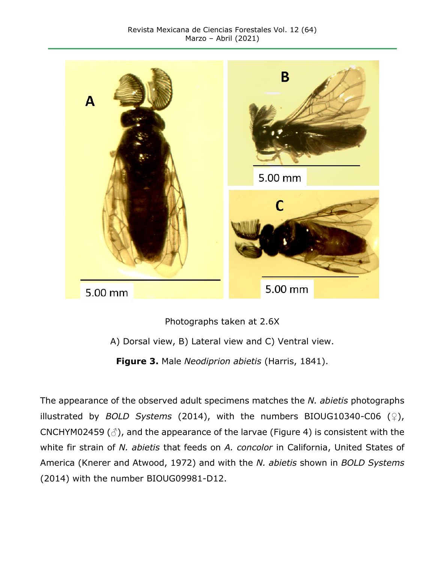

Photographs taken at 2.6X

A) Dorsal view, B) Lateral view and C) Ventral view.

**Figure 3.** Male *Neodiprion abietis* (Harris, 1841).

The appearance of the observed adult specimens matches the *N. abietis* photographs illustrated by *BOLD Systems* (2014), with the numbers BIOUG10340-C06 (♀), CNCHYM02459 ( $\circ$ ), and the appearance of the larvae (Figure 4) is consistent with the white fir strain of *N. abietis* that feeds on *A. concolor* in California, United States of America (Knerer and Atwood, 1972) and with the *N. abietis* shown in *BOLD Systems* (2014) with the number BIOUG09981-D12.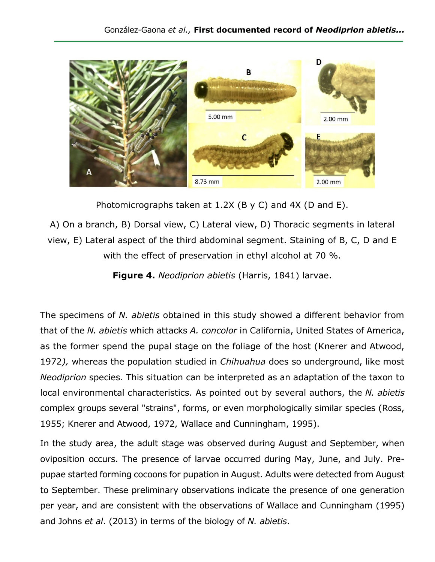

Photomicrographs taken at 1.2X (B y C) and 4X (D and E).

A) On a branch, B) Dorsal view, C) Lateral view, D) Thoracic segments in lateral view, E) Lateral aspect of the third abdominal segment. Staining of B, C, D and E with the effect of preservation in ethyl alcohol at 70 %.

**Figure 4.** *Neodiprion abietis* (Harris, 1841) larvae.

The specimens of *N. abietis* obtained in this study showed a different behavior from that of the *N. abietis* which attacks *A. concolor* in California, United States of America, as the former spend the pupal stage on the foliage of the host (Knerer and Atwood, 1972*),* whereas the population studied in *Chihuahua* does so underground, like most *Neodiprion* species. This situation can be interpreted as an adaptation of the taxon to local environmental characteristics. As pointed out by several authors, the *N. abietis*  complex groups several "strains", forms, or even morphologically similar species (Ross, 1955; Knerer and Atwood, 1972, Wallace and Cunningham, 1995).

In the study area, the adult stage was observed during August and September, when oviposition occurs. The presence of larvae occurred during May, June, and July. Prepupae started forming cocoons for pupation in August. Adults were detected from August to September. These preliminary observations indicate the presence of one generation per year, and are consistent with the observations of Wallace and Cunningham (1995) and Johns *et al*. (2013) in terms of the biology of *N. abietis*.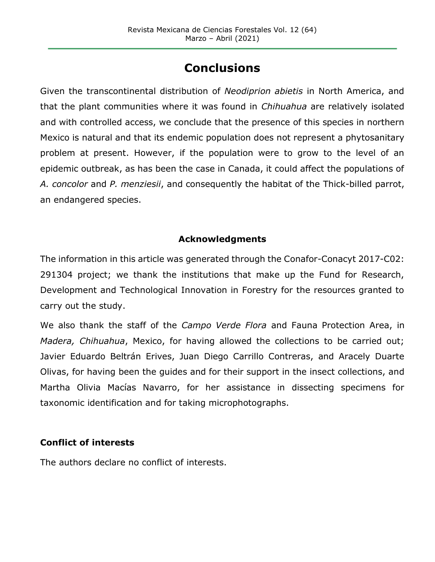# **Conclusions**

Given the transcontinental distribution of *Neodiprion abietis* in North America, and that the plant communities where it was found in *Chihuahua* are relatively isolated and with controlled access, we conclude that the presence of this species in northern Mexico is natural and that its endemic population does not represent a phytosanitary problem at present. However, if the population were to grow to the level of an epidemic outbreak, as has been the case in Canada, it could affect the populations of *A. concolor* and *P. menziesii*, and consequently the habitat of the Thick-billed parrot, an endangered species.

## **Acknowledgments**

The information in this article was generated through the Conafor-Conacyt 2017-C02: 291304 project; we thank the institutions that make up the Fund for Research, Development and Technological Innovation in Forestry for the resources granted to carry out the study.

We also thank the staff of the *Campo Verde Flora* and Fauna Protection Area, in *Madera, Chihuahua*, Mexico, for having allowed the collections to be carried out; Javier Eduardo Beltrán Erives, Juan Diego Carrillo Contreras, and Aracely Duarte Olivas, for having been the guides and for their support in the insect collections, and Martha Olivia Macías Navarro, for her assistance in dissecting specimens for taxonomic identification and for taking microphotographs.

#### **Conflict of interests**

The authors declare no conflict of interests.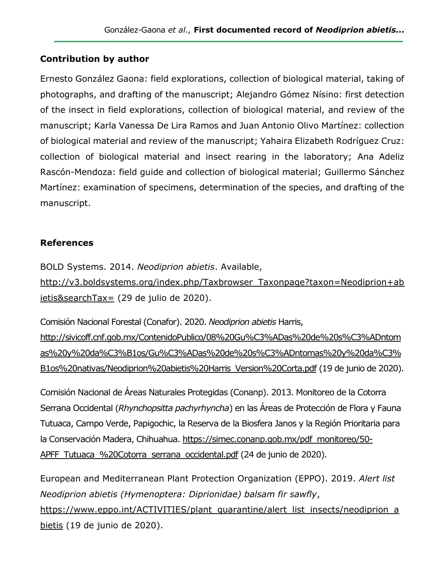## **Contribution by author**

Ernesto González Gaona: field explorations, collection of biological material, taking of photographs, and drafting of the manuscript; Alejandro Gómez Nísino: first detection of the insect in field explorations, collection of biological material, and review of the manuscript; Karla Vanessa De Lira Ramos and Juan Antonio Olivo Martínez: collection of biological material and review of the manuscript; Yahaira Elizabeth Rodríguez Cruz: collection of biological material and insect rearing in the laboratory; Ana Adeliz Rascón-Mendoza: field guide and collection of biological material; Guillermo Sánchez Martínez: examination of specimens, determination of the species, and drafting of the manuscript.

## **References**

BOLD Systems. 2014. *Neodiprion abietis*. Available,

[http://v3.boldsystems.org/index.php/Taxbrowser\\_Taxonpage?taxon=Neodiprion+ab](http://v3.boldsystems.org/index.php/Taxbrowser_Taxonpage?taxon=Neodiprion+abietis&searchTax=) [ietis&searchTax=](http://v3.boldsystems.org/index.php/Taxbrowser_Taxonpage?taxon=Neodiprion+abietis&searchTax=) (29 de julio de 2020).

Comisión Nacional Forestal (Conafor). 2020. *Neodiprion abietis* Harris, [http://sivicoff.cnf.gob.mx/ContenidoPublico/08%20Gu%C3%ADas%20de%20s%C3%ADntom](http://sivicoff.cnf.gob.mx/ContenidoPublico/08%20Gu%C3%ADas%20de%20s%C3%ADntomas%20y%20da%C3%B1os/Gu%C3%ADas%20de%20s%C3%ADntomas%20y%20da%C3%B1os%20nativas/Neodiprion%20abietis%20Harris_Version%20Corta.pdf) [as%20y%20da%C3%B1os/Gu%C3%ADas%20de%20s%C3%ADntomas%20y%20da%C3%](http://sivicoff.cnf.gob.mx/ContenidoPublico/08%20Gu%C3%ADas%20de%20s%C3%ADntomas%20y%20da%C3%B1os/Gu%C3%ADas%20de%20s%C3%ADntomas%20y%20da%C3%B1os%20nativas/Neodiprion%20abietis%20Harris_Version%20Corta.pdf) [B1os%20nativas/Neodiprion%20abietis%20Harris\\_Version%20Corta.pdf](http://sivicoff.cnf.gob.mx/ContenidoPublico/08%20Gu%C3%ADas%20de%20s%C3%ADntomas%20y%20da%C3%B1os/Gu%C3%ADas%20de%20s%C3%ADntomas%20y%20da%C3%B1os%20nativas/Neodiprion%20abietis%20Harris_Version%20Corta.pdf) (19 de junio de 2020).

Comisión Nacional de Áreas Naturales Protegidas (Conanp). 2013. Monitoreo de la Cotorra Serrana Occidental (*Rhynchopsitta pachyrhyncha*) en las Áreas de Protección de Flora y Fauna Tutuaca, Campo Verde, Papigochic, la Reserva de la Biosfera Janos y la Región Prioritaria para la Conservación Madera, Chihuahua. [https://simec.conanp.gob.mx/pdf\\_monitoreo/50-](https://simec.conanp.gob.mx/pdf_monitoreo/50-APFF_Tutuaca_%20Cotorra_serrana_occidental.pdf) APFF Tutuaca %20Cotorra serrana occidental.pdf (24 de junio de 2020).

European and Mediterranean Plant Protection Organization (EPPO). 2019. *Alert list Neodiprion abietis (Hymenoptera: Diprionidae) balsam fir sawfly*, [https://www.eppo.int/ACTIVITIES/plant\\_quarantine/alert\\_list\\_insects/neodiprion\\_a](https://www.eppo.int/ACTIVITIES/plant_quarantine/alert_list_insects/neodiprion_abietis) [bietis](https://www.eppo.int/ACTIVITIES/plant_quarantine/alert_list_insects/neodiprion_abietis) (19 de junio de 2020).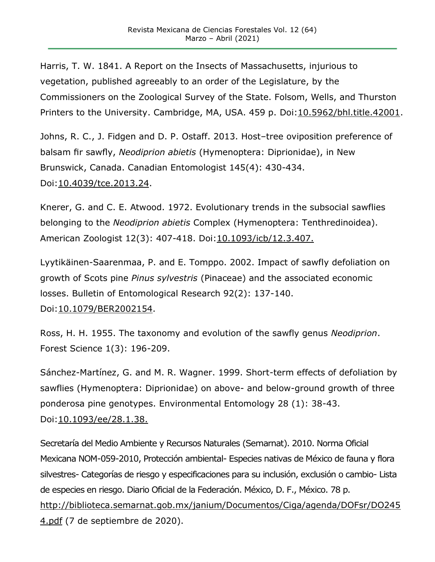Harris, T. W. 1841. A Report on the Insects of Massachusetts, injurious to vegetation, published agreeably to an order of the Legislature, by the Commissioners on the Zoological Survey of the State. Folsom, Wells, and Thurston Printers to the University. Cambridge, MA, USA. 459 p. Doi: 10.5962/bhl.title. 42001.

Johns, R. C., J. Fidgen and D. P. Ostaff. 2013. Host–tree oviposition preference of balsam fir sawfly, *Neodiprion abietis* (Hymenoptera: Diprionidae), in New Brunswick, Canada. Canadian Entomologist 145(4): 430-434. [Doi:10.4039/tce.2013.24.](https://doi.org/10.4039/tce.2013.24)

Knerer, G. and C. E. Atwood. 1972. Evolutionary trends in the subsocial sawflies belonging to the *Neodiprion abietis* Complex (Hymenoptera: Tenthredinoidea). American Zoologist 12(3): 407-418. [Doi:10.1093/icb/12.3.407.](https://doi.org/10.1093/icb/12.3.407)

Lyytikäinen-Saarenmaa, P. and E. Tomppo. 2002. Impact of sawfly defoliation on growth of Scots pine *Pinus sylvestris* (Pinaceae) and the associated economic losses. Bulletin of Entomological Research 92(2): 137-140. Doi[:10.1079/BER2002154.](https://doi.org/10.1079/BER2002154)

Ross, H. H. 1955. The taxonomy and evolution of the sawfly genus *Neodiprion*. Forest Science 1(3): 196-209.

Sánchez-Martínez, G. and M. R. Wagner. 1999. Short-term effects of defoliation by sawflies (Hymenoptera: Diprionidae) on above- and below-ground growth of three ponderosa pine genotypes. Environmental Entomology 28 (1): 38-43. [Doi:10.1093/ee/28.1.38.](https://doi.org/10.1093/ee/28.1.38)

Secretaría del Medio Ambiente y Recursos Naturales (Semarnat). 2010. Norma Oficial Mexicana NOM-059-2010, Protección ambiental- Especies nativas de México de fauna y flora silvestres- Categorías de riesgo y especificaciones para su inclusión, exclusión o cambio- Lista de especies en riesgo. Diario Oficial de la Federación. México, D. F., México. 78 p. [http://biblioteca.semarnat.gob.mx/janium/Documentos/Ciga/agenda/DOFsr/DO245](http://biblioteca.semarnat.gob.mx/janium/Documentos/Ciga/agenda/DOFsr/DO2454.pdf) [4.pdf](http://biblioteca.semarnat.gob.mx/janium/Documentos/Ciga/agenda/DOFsr/DO2454.pdf) (7 de septiembre de 2020).